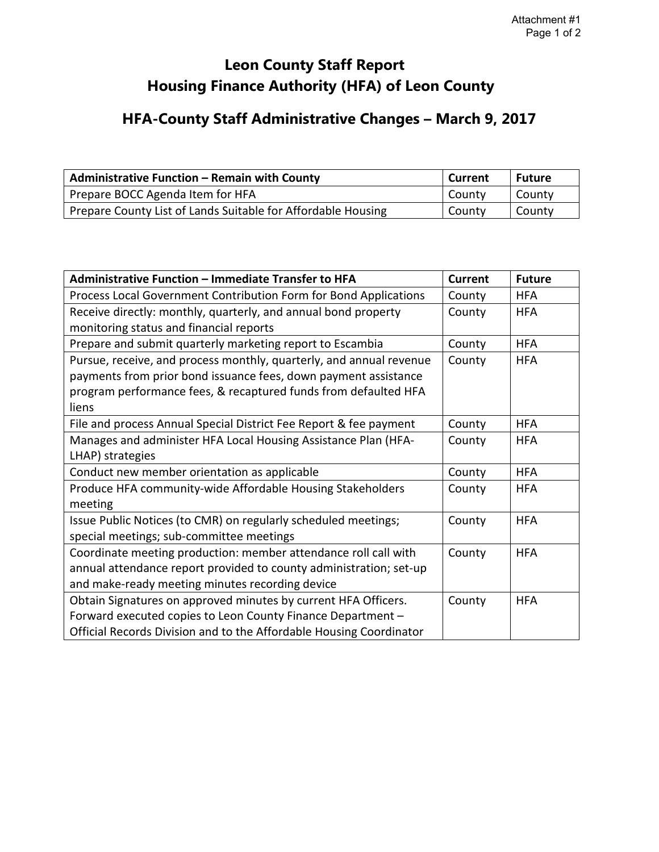## **Leon County Staff Report Housing Finance Authority (HFA) of Leon County**

## **HFA-County Staff Administrative Changes – March 9, 2017**

| <b>Administrative Function - Remain with County</b>          | Current | l Future |
|--------------------------------------------------------------|---------|----------|
| Prepare BOCC Agenda Item for HFA                             | County  | County   |
| Prepare County List of Lands Suitable for Affordable Housing | County  | County   |

| Administrative Function - Immediate Transfer to HFA                 | <b>Current</b> | <b>Future</b> |
|---------------------------------------------------------------------|----------------|---------------|
| Process Local Government Contribution Form for Bond Applications    | County         | <b>HFA</b>    |
| Receive directly: monthly, quarterly, and annual bond property      | County         | <b>HFA</b>    |
| monitoring status and financial reports                             |                |               |
| Prepare and submit quarterly marketing report to Escambia           | County         | <b>HFA</b>    |
| Pursue, receive, and process monthly, quarterly, and annual revenue | County         | <b>HFA</b>    |
| payments from prior bond issuance fees, down payment assistance     |                |               |
| program performance fees, & recaptured funds from defaulted HFA     |                |               |
| liens                                                               |                |               |
| File and process Annual Special District Fee Report & fee payment   | County         | <b>HFA</b>    |
| Manages and administer HFA Local Housing Assistance Plan (HFA-      | County         | <b>HFA</b>    |
| LHAP) strategies                                                    |                |               |
| Conduct new member orientation as applicable                        | County         | <b>HFA</b>    |
| Produce HFA community-wide Affordable Housing Stakeholders          | County         | <b>HFA</b>    |
| meeting                                                             |                |               |
| Issue Public Notices (to CMR) on regularly scheduled meetings;      | County         | <b>HFA</b>    |
| special meetings; sub-committee meetings                            |                |               |
| Coordinate meeting production: member attendance roll call with     | County         | <b>HFA</b>    |
| annual attendance report provided to county administration; set-up  |                |               |
| and make-ready meeting minutes recording device                     |                |               |
| Obtain Signatures on approved minutes by current HFA Officers.      | County         | <b>HFA</b>    |
| Forward executed copies to Leon County Finance Department -         |                |               |
| Official Records Division and to the Affordable Housing Coordinator |                |               |